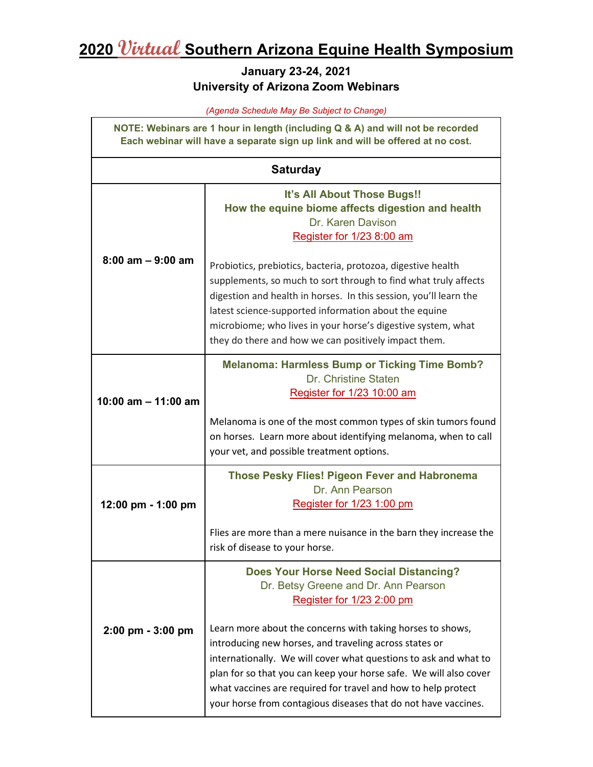## **2020 Virtual Southern Arizona Equine Health Symposium**

## **January 23-24, 2021 University of Arizona Zoom Webinars**

*(Agenda Schedule May Be Subject to Change)*

**NOTE: Webinars are 1 hour in length (including Q & A) and will not be recorded Each webinar will have a separate sign up link and will be offered at no cost.**

## **Saturday 8:00 am – 9:00 am It's All About Those Bugs!! How the equine biome affects digestion and health** Dr. Karen Davison [Register for 1/23 8:00 am](https://arizona.zoom.us/webinar/register/WN_DvAwAo6LSJaOIwlhE1fdyw) Probiotics, prebiotics, bacteria, protozoa, digestive health supplements, so much to sort through to find what truly affects digestion and health in horses. In this session, you'll learn the latest science-supported information about the equine microbiome; who lives in your horse's digestive system, what they do there and how we can positively impact them. **10:00 am – 11:00 am Melanoma: Harmless Bump or Ticking Time Bomb?** Dr. Christine Staten [Register for 1/23 10:00 am](https://arizona.zoom.us/webinar/register/WN_yO_YNSN_SDmp9CceLVan3g) Melanoma is one of the most common types of skin tumors found on horses. Learn more about identifying melanoma, when to call your vet, and possible treatment options. **12:00 pm - 1:00 pm Those Pesky Flies! Pigeon Fever and Habronema** Dr. Ann Pearson [Register for 1/23 1:00 pm](https://arizona.zoom.us/webinar/register/WN_L4prbb15R6KRTGDWS0syjg) Flies are more than a mere nuisance in the barn they increase the risk of disease to your horse. **2:00 pm - 3:00 pm Does Your Horse Need Social Distancing?**  Dr. Betsy Greene and Dr. Ann Pearson [Register for 1/23 2:00 pm](https://arizona.zoom.us/webinar/register/WN_mU8mSAJGRNyIY0sfA6yN-w) Learn more about the concerns with taking horses to shows, introducing new horses, and traveling across states or internationally. We will cover what questions to ask and what to plan for so that you can keep your horse safe. We will also cover what vaccines are required for travel and how to help protect your horse from contagious diseases that do not have vaccines.